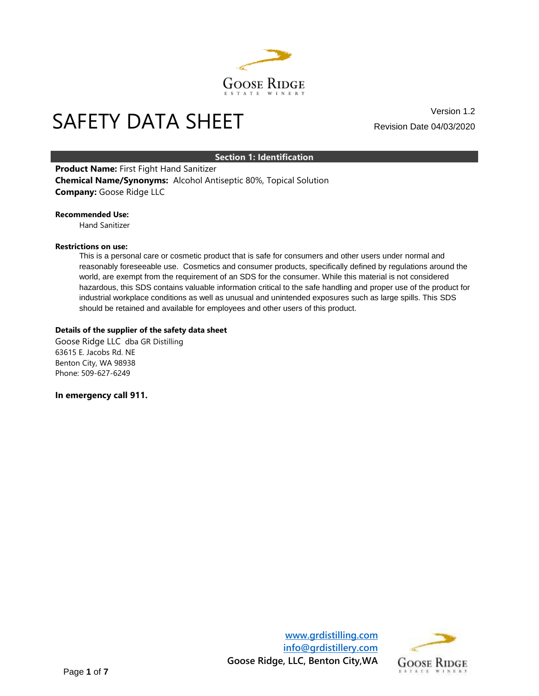

# Version 1.2<br>
SAFETY DATA SHEET Exercision Date 04/03/2020

Revision Date 04/03/2020

## **Section 1: Identification**

**Product Name:** First Fight Hand Sanitizer **Chemical Name/Synonyms:** Alcohol Antiseptic 80%, Topical Solution **Company:** Goose Ridge LLC

#### **Recommended Use:**

Hand Sanitizer

#### **Restrictions on use:**

This is a personal care or cosmetic product that is safe for consumers and other users under normal and reasonably foreseeable use. Cosmetics and consumer products, specifically defined by regulations around the world, are exempt from the requirement of an SDS for the consumer. While this material is not considered hazardous, this SDS contains valuable information critical to the safe handling and proper use of the product for industrial workplace conditions as well as unusual and unintended exposures such as large spills. This SDS should be retained and available for employees and other users of this product.

#### **Details of the supplier of the safety data sheet**

Goose Ridge LLC dba GR Distilling 63615 E. Jacobs Rd. NE Benton City, WA 98938 Phone: 509-627-6249

**In emergency call 911.**



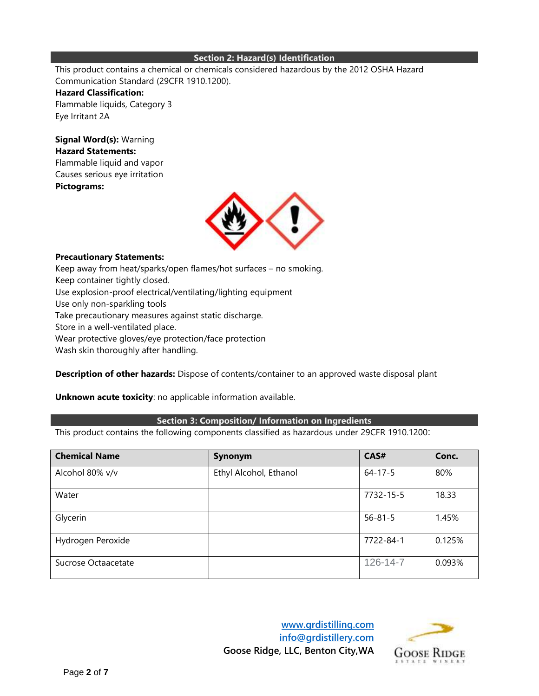#### **Section 2: Hazard(s) Identification**

This product contains a chemical or chemicals considered hazardous by the 2012 OSHA Hazard Communication Standard (29CFR 1910.1200).

## **Hazard Classification:**

Flammable liquids, Category 3 Eye Irritant 2A

**Signal Word(s):** Warning **Hazard Statements:** Flammable liquid and vapor Causes serious eye irritation **Pictograms:**



## **Precautionary Statements:**

Keep away from heat/sparks/open flames/hot surfaces – no smoking. Keep container tightly closed. Use explosion-proof electrical/ventilating/lighting equipment Use only non-sparkling tools Take precautionary measures against static discharge. Store in a well-ventilated place. Wear protective gloves/eye protection/face protection Wash skin thoroughly after handling.

**Description of other hazards:** Dispose of contents/container to an approved waste disposal plant

## **Unknown acute toxicity**: no applicable information available.

## **Section 3: Composition/ Information on Ingredients**

This product contains the following components classified as hazardous under 29CFR 1910.1200:

| <b>Chemical Name</b> | Synonym                | CAS#           | Conc.  |
|----------------------|------------------------|----------------|--------|
| Alcohol 80% v/v      | Ethyl Alcohol, Ethanol | $64 - 17 - 5$  | 80%    |
| Water                |                        | 7732-15-5      | 18.33  |
| Glycerin             |                        | $56 - 81 - 5$  | 1.45%  |
| Hydrogen Peroxide    |                        | 7722-84-1      | 0.125% |
| Sucrose Octaacetate  |                        | $126 - 14 - 7$ | 0.093% |



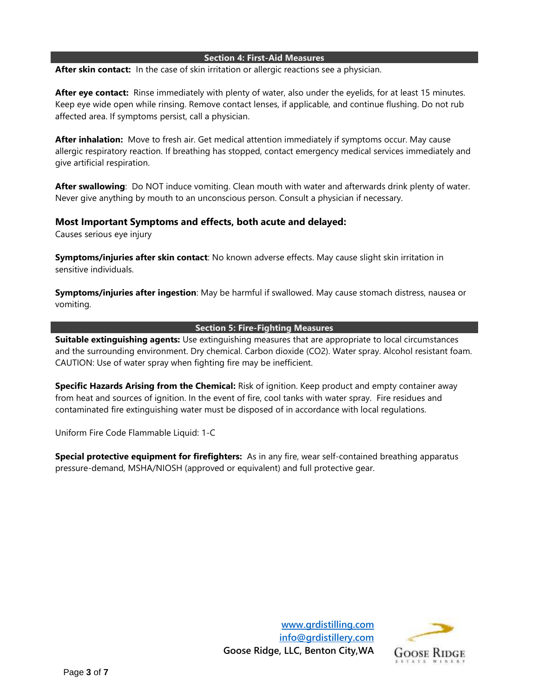#### **Section 4: First-Aid Measures**

**After skin contact:** In the case of skin irritation or allergic reactions see a physician.

**After eye contact:** Rinse immediately with plenty of water, also under the eyelids, for at least 15 minutes. Keep eye wide open while rinsing. Remove contact lenses, if applicable, and continue flushing. Do not rub affected area. If symptoms persist, call a physician.

**After inhalation:** Move to fresh air. Get medical attention immediately if symptoms occur. May cause allergic respiratory reaction. If breathing has stopped, contact emergency medical services immediately and give artificial respiration.

**After swallowing**: Do NOT induce vomiting. Clean mouth with water and afterwards drink plenty of water. Never give anything by mouth to an unconscious person. Consult a physician if necessary.

## **Most Important Symptoms and effects, both acute and delayed:**

Causes serious eye injury

**Symptoms/injuries after skin contact**: No known adverse effects. May cause slight skin irritation in sensitive individuals.

**Symptoms/injuries after ingestion**: May be harmful if swallowed. May cause stomach distress, nausea or vomiting.

## **Section 5: Fire-Fighting Measures**

**Suitable extinguishing agents:** Use extinguishing measures that are appropriate to local circumstances and the surrounding environment. Dry chemical. Carbon dioxide (CO2). Water spray. Alcohol resistant foam. CAUTION: Use of water spray when fighting fire may be inefficient.

**Specific Hazards Arising from the Chemical:** Risk of ignition. Keep product and empty container away from heat and sources of ignition. In the event of fire, cool tanks with water spray. Fire residues and contaminated fire extinguishing water must be disposed of in accordance with local regulations.

Uniform Fire Code Flammable Liquid: 1-C

**Special protective equipment for firefighters:** As in any fire, wear self-contained breathing apparatus pressure-demand, MSHA/NIOSH (approved or equivalent) and full protective gear.

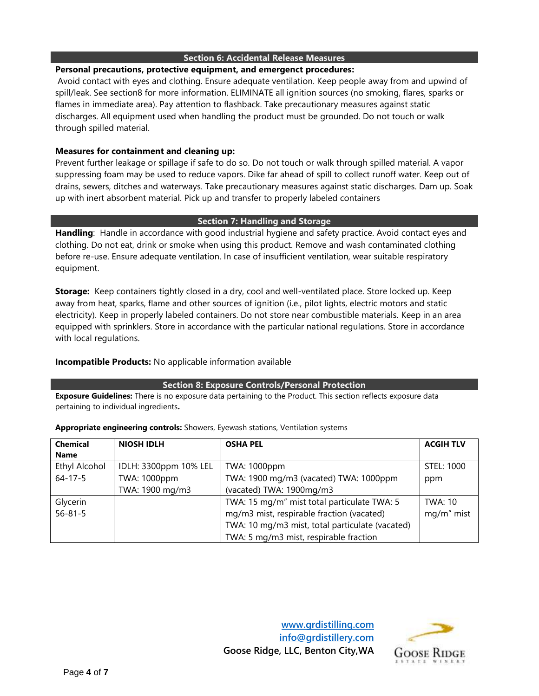## **Section 6: Accidental Release Measures**

## **Personal precautions, protective equipment, and emergenct procedures:**

Avoid contact with eyes and clothing. Ensure adequate ventilation. Keep people away from and upwind of spill/leak. See section8 for more information. ELIMINATE all ignition sources (no smoking, flares, sparks or flames in immediate area). Pay attention to flashback. Take precautionary measures against static discharges. All equipment used when handling the product must be grounded. Do not touch or walk through spilled material.

# **Measures for containment and cleaning up:**

Prevent further leakage or spillage if safe to do so. Do not touch or walk through spilled material. A vapor suppressing foam may be used to reduce vapors. Dike far ahead of spill to collect runoff water. Keep out of drains, sewers, ditches and waterways. Take precautionary measures against static discharges. Dam up. Soak up with inert absorbent material. Pick up and transfer to properly labeled containers

## **Section 7: Handling and Storage**

**Handling**: Handle in accordance with good industrial hygiene and safety practice. Avoid contact eyes and clothing. Do not eat, drink or smoke when using this product. Remove and wash contaminated clothing before re-use. Ensure adequate ventilation. In case of insufficient ventilation, wear suitable respiratory equipment.

**Storage:** Keep containers tightly closed in a dry, cool and well-ventilated place. Store locked up. Keep away from heat, sparks, flame and other sources of ignition (i.e., pilot lights, electric motors and static electricity). Keep in properly labeled containers. Do not store near combustible materials. Keep in an area equipped with sprinklers. Store in accordance with the particular national regulations. Store in accordance with local regulations.

## **Incompatible Products:** No applicable information available

## **Section 8: Exposure Controls/Personal Protection**

**Exposure Guidelines:** There is no exposure data pertaining to the Product. This section reflects exposure data pertaining to individual ingredients**.** 

| <b>Chemical</b>      | <b>NIOSH IDLH</b>     | <b>OSHA PEL</b>                                 | <b>ACGIH TLV</b> |
|----------------------|-----------------------|-------------------------------------------------|------------------|
| <b>Name</b>          |                       |                                                 |                  |
| <b>Ethyl Alcohol</b> | IDLH: 3300ppm 10% LEL | TWA: 1000ppm                                    | STEL: 1000       |
| $64 - 17 - 5$        | TWA: 1000ppm          | TWA: 1900 mg/m3 (vacated) TWA: 1000ppm          | ppm              |
|                      | TWA: 1900 mg/m3       | (vacated) TWA: 1900mg/m3                        |                  |
| Glycerin             |                       | TWA: 15 mg/m" mist total particulate TWA: 5     | TWA: 10          |
| $56 - 81 - 5$        |                       | mg/m3 mist, respirable fraction (vacated)       | mg/m" mist       |
|                      |                       | TWA: 10 mg/m3 mist, total particulate (vacated) |                  |
|                      |                       | TWA: 5 mg/m3 mist, respirable fraction          |                  |

**Appropriate engineering controls:** Showers, Eyewash stations, Ventilation systems



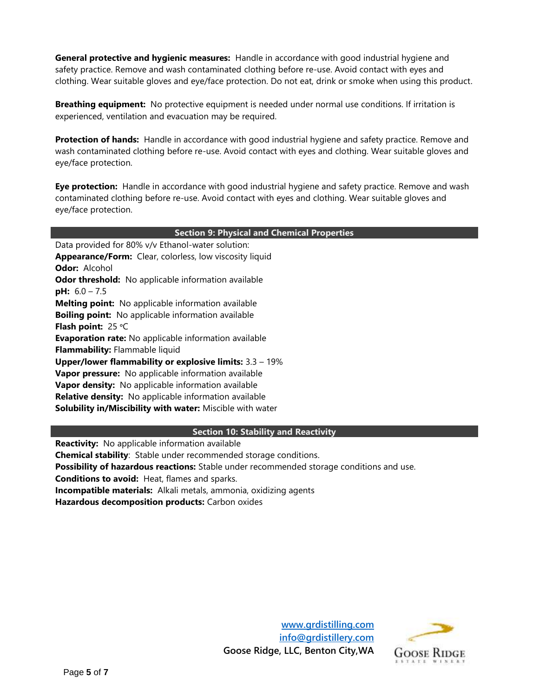**General protective and hygienic measures:** Handle in accordance with good industrial hygiene and safety practice. Remove and wash contaminated clothing before re-use. Avoid contact with eyes and clothing. Wear suitable gloves and eye/face protection. Do not eat, drink or smoke when using this product.

**Breathing equipment:** No protective equipment is needed under normal use conditions. If irritation is experienced, ventilation and evacuation may be required.

**Protection of hands:** Handle in accordance with good industrial hygiene and safety practice. Remove and wash contaminated clothing before re-use. Avoid contact with eyes and clothing. Wear suitable gloves and eye/face protection.

**Eye protection:** Handle in accordance with good industrial hygiene and safety practice. Remove and wash contaminated clothing before re-use. Avoid contact with eyes and clothing. Wear suitable gloves and eye/face protection.

| <b>Section 9: Physical and Chemical Properties</b> |  |
|----------------------------------------------------|--|
|----------------------------------------------------|--|

Data provided for 80% v/v Ethanol-water solution: **Appearance/Form:** Clear, colorless, low viscosity liquid **Odor:** Alcohol **Odor threshold:** No applicable information available **pH:** 6.0 – 7.5 **Melting point:** No applicable information available **Boiling point:** No applicable information available **Flash point:** 25 ᵒC **Evaporation rate:** No applicable information available **Flammability:** Flammable liquid **Upper/lower flammability or explosive limits:** 3.3 – 19% **Vapor pressure:** No applicable information available **Vapor density:** No applicable information available **Relative density:** No applicable information available **Solubility in/Miscibility with water:** Miscible with water

## **Section 10: Stability and Reactivity**

**Reactivity:** No applicable information available

**Chemical stability**: Stable under recommended storage conditions.

**Possibility of hazardous reactions:** Stable under recommended storage conditions and use.

**Conditions to avoid:** Heat, flames and sparks.

**Incompatible materials:** Alkali metals, ammonia, oxidizing agents

**Hazardous decomposition products:** Carbon oxides

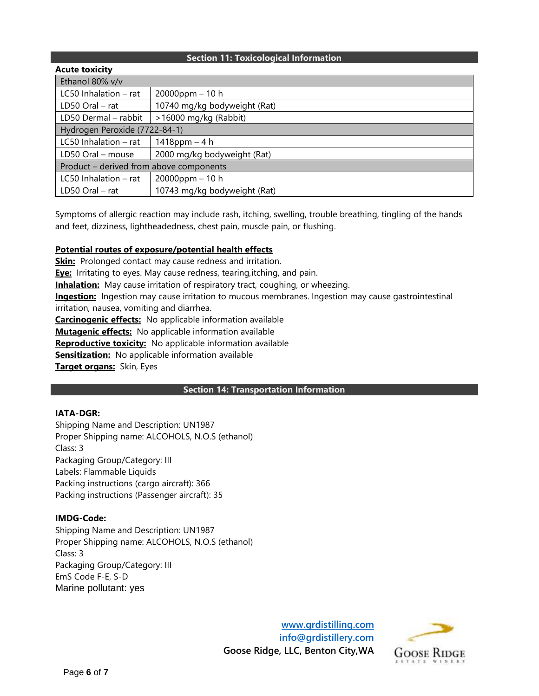## **Section 11: Toxicological Information**

| <b>Acute toxicity</b>                   |                              |  |
|-----------------------------------------|------------------------------|--|
| Ethanol 80% v/v                         |                              |  |
| LC50 Inhalation $-$ rat                 | $20000$ ppm $-10$ h          |  |
| LD50 Oral - rat                         | 10740 mg/kg bodyweight (Rat) |  |
| LD50 Dermal - rabbit                    | >16000 mg/kg (Rabbit)        |  |
| Hydrogen Peroxide (7722-84-1)           |                              |  |
| LC50 Inhalation $-$ rat                 | $1418$ ppm $-4 h$            |  |
| LD50 Oral - mouse                       | 2000 mg/kg bodyweight (Rat)  |  |
| Product - derived from above components |                              |  |
| LC50 Inhalation $-$ rat                 | $20000$ ppm $-10$ h          |  |
| $LD50$ Oral $-$ rat                     | 10743 mg/kg bodyweight (Rat) |  |

Symptoms of allergic reaction may include rash, itching, swelling, trouble breathing, tingling of the hands and feet, dizziness, lightheadedness, chest pain, muscle pain, or flushing.

# **Potential routes of exposure/potential health effects**

**Skin:** Prolonged contact may cause redness and irritation.

**Eye:** Irritating to eyes. May cause redness, tearing,itching, and pain.

**Inhalation:** May cause irritation of respiratory tract, coughing, or wheezing.

**Ingestion:** Ingestion may cause irritation to mucous membranes. Ingestion may cause gastrointestinal irritation, nausea, vomiting and diarrhea.

**Carcinogenic effects:** No applicable information available **Mutagenic effects:** No applicable information available **Reproductive toxicity:** No applicable information available **Sensitization:** No applicable information available **Target organs:** Skin, Eyes

## **Section 14: Transportation Information**

## **IATA-DGR:**

Shipping Name and Description: UN1987 Proper Shipping name: ALCOHOLS, N.O.S (ethanol) Class: 3 Packaging Group/Category: III Labels: Flammable Liquids Packing instructions (cargo aircraft): 366 Packing instructions (Passenger aircraft): 35

## **IMDG-Code:**

Shipping Name and Description: UN1987 Proper Shipping name: ALCOHOLS, N.O.S (ethanol) Class: 3 Packaging Group/Category: III EmS Code F-E, S-D Marine pollutant: yes